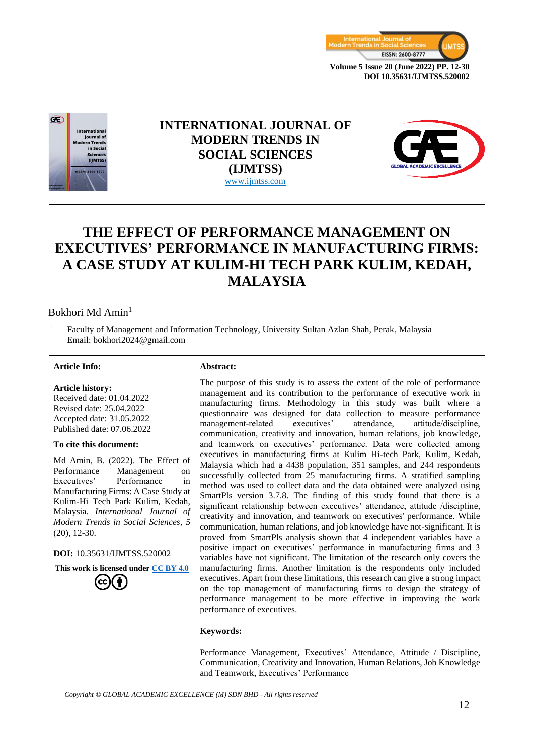



## **INTERNATIONAL JOURNAL OF MODERN TRENDS IN SOCIAL SCIENCES (IJMTSS)** www.ijmtss.com



# **THE EFFECT OF PERFORMANCE MANAGEMENT ON EXECUTIVES' PERFORMANCE IN MANUFACTURING FIRMS: A CASE STUDY AT KULIM-HI TECH PARK KULIM, KEDAH, MALAYSIA**

## Bokhori Md Amin<sup>1</sup>

<sup>1</sup> Faculty of Management and Information Technology, University Sultan Azlan Shah, Perak, Malaysia Email: bokhori2024@gmail.com

#### **Article Info: Abstract:**

#### **Article history:**

Received date: 01.04.2022 Revised date: 25.04.2022 Accepted date: 31.05.2022 Published date: 07.06.2022

#### **To cite this document:**

Md Amin, B. (2022). The Effect of Performance Management on Executives' Performance in Manufacturing Firms: A Case Study at Kulim-Hi Tech Park Kulim, Kedah, Malaysia. *International Journal of Modern Trends in Social Sciences, 5* (20), 12-30.

**DOI:** 10.35631/IJMTSS.520002

**This work is licensed under [CC BY 4.0](https://creativecommons.org/licenses/by/4.0/?ref=chooser-v1)**



The purpose of this study is to assess the extent of the role of performance management and its contribution to the performance of executive work in manufacturing firms. Methodology in this study was built where a questionnaire was designed for data collection to measure performance management-related executives' attendance, attitude/discipline, communication, creativity and innovation, human relations, job knowledge, and teamwork on executives' performance. Data were collected among executives in manufacturing firms at Kulim Hi-tech Park, Kulim, Kedah, Malaysia which had a 4438 population, 351 samples, and 244 respondents successfully collected from 25 manufacturing firms. A stratified sampling method was used to collect data and the data obtained were analyzed using SmartPls version 3.7.8. The finding of this study found that there is a significant relationship between executives' attendance, attitude /discipline, creativity and innovation, and teamwork on executives' performance. While communication, human relations, and job knowledge have not-significant. It is proved from SmartPls analysis shown that 4 independent variables have a positive impact on executives' performance in manufacturing firms and 3 variables have not significant. The limitation of the research only covers the manufacturing firms. Another limitation is the respondents only included executives. Apart from these limitations, this research can give a strong impact on the top management of manufacturing firms to design the strategy of performance management to be more effective in improving the work performance of executives.

#### **Keywords:**

Performance Management, Executives' Attendance, Attitude / Discipline, Communication, Creativity and Innovation, Human Relations, Job Knowledge and Teamwork, Executives' Performance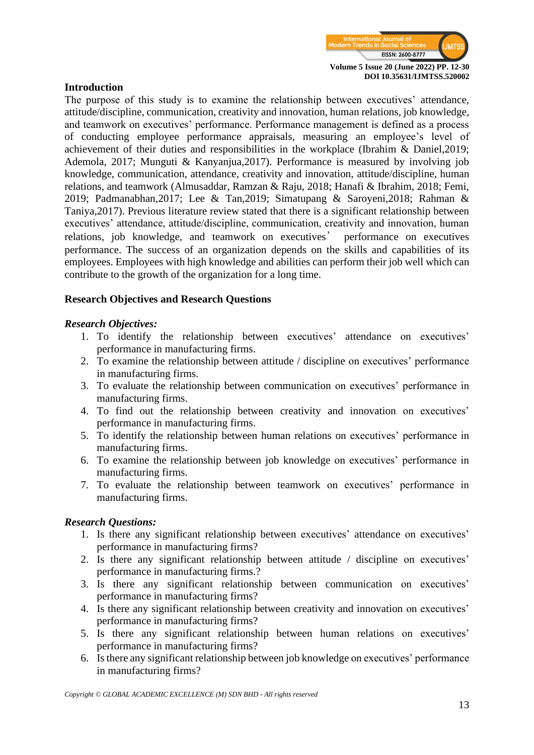

#### **Introduction**

The purpose of this study is to examine the relationship between executives' attendance, attitude/discipline, communication, creativity and innovation, human relations, job knowledge, and teamwork on executives' performance. Performance management is defined as a process of conducting employee performance appraisals, measuring an employee's level of achievement of their duties and responsibilities in the workplace (Ibrahim & Daniel,2019; Ademola, 2017; Munguti & Kanyanjua,2017). Performance is measured by involving job knowledge, communication, attendance, creativity and innovation, attitude/discipline, human relations, and teamwork (Almusaddar, Ramzan & Raju, 2018; Hanafi & Ibrahim, 2018; Femi, 2019; Padmanabhan,2017; Lee & Tan,2019; Simatupang & Saroyeni,2018; Rahman & Taniya,2017). Previous literature review stated that there is a significant relationship between executives' attendance, attitude/discipline, communication, creativity and innovation, human relations, job knowledge, and teamwork on executives' performance on executives performance. The success of an organization depends on the skills and capabilities of its employees. Employees with high knowledge and abilities can perform their job well which can contribute to the growth of the organization for a long time.

#### **Research Objectives and Research Questions**

#### *Research Objectives:*

- 1. To identify the relationship between executives' attendance on executives' performance in manufacturing firms.
- 2. To examine the relationship between attitude / discipline on executives' performance in manufacturing firms.
- 3. To evaluate the relationship between communication on executives' performance in manufacturing firms.
- 4. To find out the relationship between creativity and innovation on executives' performance in manufacturing firms.
- 5. To identify the relationship between human relations on executives' performance in manufacturing firms.
- 6. To examine the relationship between job knowledge on executives' performance in manufacturing firms.
- 7. To evaluate the relationship between teamwork on executives' performance in manufacturing firms.

#### *Research Questions:*

- 1. Is there any significant relationship between executives' attendance on executives' performance in manufacturing firms?
- 2. Is there any significant relationship between attitude / discipline on executives' performance in manufacturing firms.?
- 3. Is there any significant relationship between communication on executives' performance in manufacturing firms?
- 4. Is there any significant relationship between creativity and innovation on executives' performance in manufacturing firms?
- 5. Is there any significant relationship between human relations on executives' performance in manufacturing firms?
- 6. Is there any significant relationship between job knowledge on executives' performance in manufacturing firms?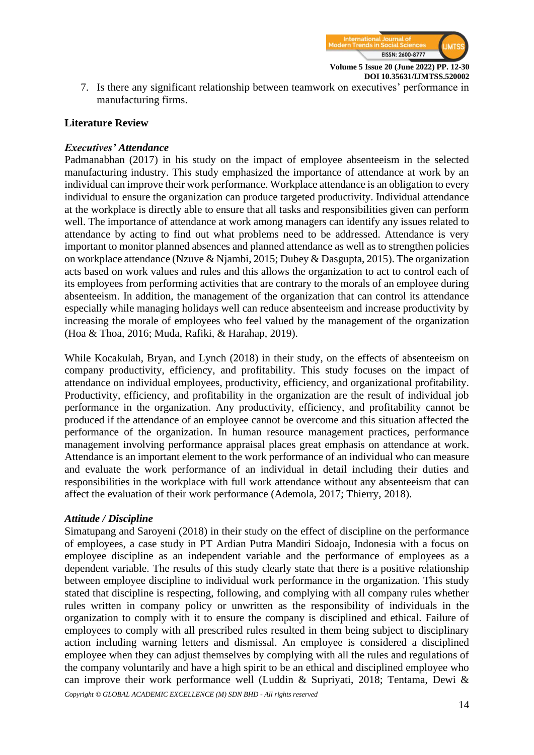

7. Is there any significant relationship between teamwork on executives' performance in manufacturing firms.

## **Literature Review**

## *Executives' Attendance*

Padmanabhan (2017) in his study on the impact of employee absenteeism in the selected manufacturing industry. This study emphasized the importance of attendance at work by an individual can improve their work performance. Workplace attendance is an obligation to every individual to ensure the organization can produce targeted productivity. Individual attendance at the workplace is directly able to ensure that all tasks and responsibilities given can perform well. The importance of attendance at work among managers can identify any issues related to attendance by acting to find out what problems need to be addressed. Attendance is very important to monitor planned absences and planned attendance as well as to strengthen policies on workplace attendance (Nzuve & Njambi, 2015; Dubey & Dasgupta, 2015). The organization acts based on work values and rules and this allows the organization to act to control each of its employees from performing activities that are contrary to the morals of an employee during absenteeism. In addition, the management of the organization that can control its attendance especially while managing holidays well can reduce absenteeism and increase productivity by increasing the morale of employees who feel valued by the management of the organization (Hoa & Thoa, 2016; Muda, Rafiki, & Harahap, 2019).

While Kocakulah, Bryan, and Lynch (2018) in their study, on the effects of absenteeism on company productivity, efficiency, and profitability. This study focuses on the impact of attendance on individual employees, productivity, efficiency, and organizational profitability. Productivity, efficiency, and profitability in the organization are the result of individual job performance in the organization. Any productivity, efficiency, and profitability cannot be produced if the attendance of an employee cannot be overcome and this situation affected the performance of the organization. In human resource management practices, performance management involving performance appraisal places great emphasis on attendance at work. Attendance is an important element to the work performance of an individual who can measure and evaluate the work performance of an individual in detail including their duties and responsibilities in the workplace with full work attendance without any absenteeism that can affect the evaluation of their work performance (Ademola, 2017; Thierry, 2018).

#### *Attitude / Discipline*

Simatupang and Saroyeni (2018) in their study on the effect of discipline on the performance of employees, a case study in PT Ardian Putra Mandiri Sidoajo, Indonesia with a focus on employee discipline as an independent variable and the performance of employees as a dependent variable. The results of this study clearly state that there is a positive relationship between employee discipline to individual work performance in the organization. This study stated that discipline is respecting, following, and complying with all company rules whether rules written in company policy or unwritten as the responsibility of individuals in the organization to comply with it to ensure the company is disciplined and ethical. Failure of employees to comply with all prescribed rules resulted in them being subject to disciplinary action including warning letters and dismissal. An employee is considered a disciplined employee when they can adjust themselves by complying with all the rules and regulations of the company voluntarily and have a high spirit to be an ethical and disciplined employee who can improve their work performance well (Luddin & Supriyati, 2018; Tentama, Dewi &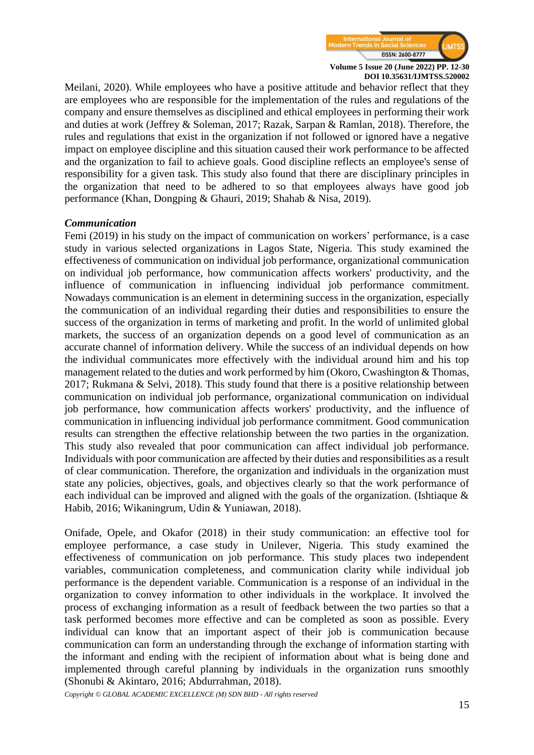

Meilani, 2020). While employees who have a positive attitude and behavior reflect that they are employees who are responsible for the implementation of the rules and regulations of the company and ensure themselves as disciplined and ethical employees in performing their work and duties at work (Jeffrey & Soleman, 2017; Razak, Sarpan & Ramlan, 2018). Therefore, the rules and regulations that exist in the organization if not followed or ignored have a negative impact on employee discipline and this situation caused their work performance to be affected and the organization to fail to achieve goals. Good discipline reflects an employee's sense of responsibility for a given task. This study also found that there are disciplinary principles in the organization that need to be adhered to so that employees always have good job performance (Khan, Dongping & Ghauri, 2019; Shahab & Nisa, 2019).

#### *Communication*

Femi (2019) in his study on the impact of communication on workers' performance, is a case study in various selected organizations in Lagos State, Nigeria. This study examined the effectiveness of communication on individual job performance, organizational communication on individual job performance, how communication affects workers' productivity, and the influence of communication in influencing individual job performance commitment. Nowadays communication is an element in determining success in the organization, especially the communication of an individual regarding their duties and responsibilities to ensure the success of the organization in terms of marketing and profit. In the world of unlimited global markets, the success of an organization depends on a good level of communication as an accurate channel of information delivery. While the success of an individual depends on how the individual communicates more effectively with the individual around him and his top management related to the duties and work performed by him (Okoro, Cwashington & Thomas, 2017; Rukmana & Selvi, 2018). This study found that there is a positive relationship between communication on individual job performance, organizational communication on individual job performance, how communication affects workers' productivity, and the influence of communication in influencing individual job performance commitment. Good communication results can strengthen the effective relationship between the two parties in the organization. This study also revealed that poor communication can affect individual job performance. Individuals with poor communication are affected by their duties and responsibilities as a result of clear communication. Therefore, the organization and individuals in the organization must state any policies, objectives, goals, and objectives clearly so that the work performance of each individual can be improved and aligned with the goals of the organization. (Ishtiaque & Habib, 2016; Wikaningrum, Udin & Yuniawan, 2018).

Onifade, Opele, and Okafor (2018) in their study communication: an effective tool for employee performance, a case study in Unilever, Nigeria. This study examined the effectiveness of communication on job performance. This study places two independent variables, communication completeness, and communication clarity while individual job performance is the dependent variable. Communication is a response of an individual in the organization to convey information to other individuals in the workplace. It involved the process of exchanging information as a result of feedback between the two parties so that a task performed becomes more effective and can be completed as soon as possible. Every individual can know that an important aspect of their job is communication because communication can form an understanding through the exchange of information starting with the informant and ending with the recipient of information about what is being done and implemented through careful planning by individuals in the organization runs smoothly (Shonubi & Akintaro, 2016; Abdurrahman, 2018).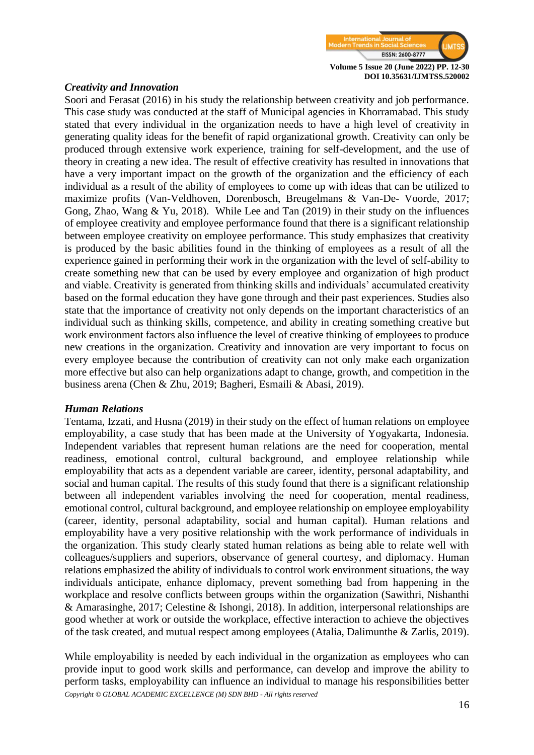

#### *Creativity and Innovation*

Soori and Ferasat (2016) in his study the relationship between creativity and job performance. This case study was conducted at the staff of Municipal agencies in Khorramabad. This study stated that every individual in the organization needs to have a high level of creativity in generating quality ideas for the benefit of rapid organizational growth. Creativity can only be produced through extensive work experience, training for self-development, and the use of theory in creating a new idea. The result of effective creativity has resulted in innovations that have a very important impact on the growth of the organization and the efficiency of each individual as a result of the ability of employees to come up with ideas that can be utilized to maximize profits (Van-Veldhoven, Dorenbosch, Breugelmans & Van-De- Voorde, 2017; Gong, Zhao, Wang & Yu, 2018). While Lee and Tan (2019) in their study on the influences of employee creativity and employee performance found that there is a significant relationship between employee creativity on employee performance. This study emphasizes that creativity is produced by the basic abilities found in the thinking of employees as a result of all the experience gained in performing their work in the organization with the level of self-ability to create something new that can be used by every employee and organization of high product and viable. Creativity is generated from thinking skills and individuals' accumulated creativity based on the formal education they have gone through and their past experiences. Studies also state that the importance of creativity not only depends on the important characteristics of an individual such as thinking skills, competence, and ability in creating something creative but work environment factors also influence the level of creative thinking of employees to produce new creations in the organization. Creativity and innovation are very important to focus on every employee because the contribution of creativity can not only make each organization more effective but also can help organizations adapt to change, growth, and competition in the business arena (Chen & Zhu, 2019; Bagheri, Esmaili & Abasi, 2019).

#### *Human Relations*

Tentama, Izzati, and Husna (2019) in their study on the effect of human relations on employee employability, a case study that has been made at the University of Yogyakarta, Indonesia. Independent variables that represent human relations are the need for cooperation, mental readiness, emotional control, cultural background, and employee relationship while employability that acts as a dependent variable are career, identity, personal adaptability, and social and human capital. The results of this study found that there is a significant relationship between all independent variables involving the need for cooperation, mental readiness, emotional control, cultural background, and employee relationship on employee employability (career, identity, personal adaptability, social and human capital). Human relations and employability have a very positive relationship with the work performance of individuals in the organization. This study clearly stated human relations as being able to relate well with colleagues/suppliers and superiors, observance of general courtesy, and diplomacy. Human relations emphasized the ability of individuals to control work environment situations, the way individuals anticipate, enhance diplomacy, prevent something bad from happening in the workplace and resolve conflicts between groups within the organization (Sawithri, Nishanthi & Amarasinghe, 2017; Celestine & Ishongi, 2018). In addition, interpersonal relationships are good whether at work or outside the workplace, effective interaction to achieve the objectives of the task created, and mutual respect among employees (Atalia, Dalimunthe & Zarlis, 2019).

*Copyright © GLOBAL ACADEMIC EXCELLENCE (M) SDN BHD - All rights reserved* While employability is needed by each individual in the organization as employees who can provide input to good work skills and performance, can develop and improve the ability to perform tasks, employability can influence an individual to manage his responsibilities better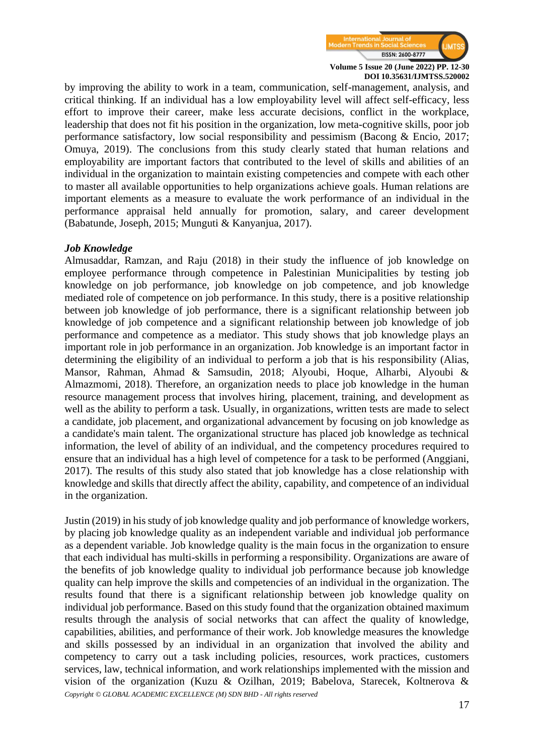

by improving the ability to work in a team, communication, self-management, analysis, and critical thinking. If an individual has a low employability level will affect self-efficacy, less effort to improve their career, make less accurate decisions, conflict in the workplace, leadership that does not fit his position in the organization, low meta-cognitive skills, poor job performance satisfactory, low social responsibility and pessimism (Bacong & Encio, 2017; Omuya, 2019). The conclusions from this study clearly stated that human relations and employability are important factors that contributed to the level of skills and abilities of an individual in the organization to maintain existing competencies and compete with each other to master all available opportunities to help organizations achieve goals. Human relations are important elements as a measure to evaluate the work performance of an individual in the performance appraisal held annually for promotion, salary, and career development (Babatunde, Joseph, 2015; Munguti & Kanyanjua, 2017).

#### *Job Knowledge*

Almusaddar, Ramzan, and Raju (2018) in their study the influence of job knowledge on employee performance through competence in Palestinian Municipalities by testing job knowledge on job performance, job knowledge on job competence, and job knowledge mediated role of competence on job performance. In this study, there is a positive relationship between job knowledge of job performance, there is a significant relationship between job knowledge of job competence and a significant relationship between job knowledge of job performance and competence as a mediator. This study shows that job knowledge plays an important role in job performance in an organization. Job knowledge is an important factor in determining the eligibility of an individual to perform a job that is his responsibility (Alias, Mansor, Rahman, Ahmad & Samsudin, 2018; Alyoubi, Hoque, Alharbi, Alyoubi & Almazmomi, 2018). Therefore, an organization needs to place job knowledge in the human resource management process that involves hiring, placement, training, and development as well as the ability to perform a task. Usually, in organizations, written tests are made to select a candidate, job placement, and organizational advancement by focusing on job knowledge as a candidate's main talent. The organizational structure has placed job knowledge as technical information, the level of ability of an individual, and the competency procedures required to ensure that an individual has a high level of competence for a task to be performed (Anggiani, 2017). The results of this study also stated that job knowledge has a close relationship with knowledge and skills that directly affect the ability, capability, and competence of an individual in the organization.

*Copyright © GLOBAL ACADEMIC EXCELLENCE (M) SDN BHD - All rights reserved* Justin (2019) in his study of job knowledge quality and job performance of knowledge workers, by placing job knowledge quality as an independent variable and individual job performance as a dependent variable. Job knowledge quality is the main focus in the organization to ensure that each individual has multi-skills in performing a responsibility. Organizations are aware of the benefits of job knowledge quality to individual job performance because job knowledge quality can help improve the skills and competencies of an individual in the organization. The results found that there is a significant relationship between job knowledge quality on individual job performance. Based on this study found that the organization obtained maximum results through the analysis of social networks that can affect the quality of knowledge, capabilities, abilities, and performance of their work. Job knowledge measures the knowledge and skills possessed by an individual in an organization that involved the ability and competency to carry out a task including policies, resources, work practices, customers services, law, technical information, and work relationships implemented with the mission and vision of the organization (Kuzu & Ozilhan, 2019; Babelova, Starecek, Koltnerova &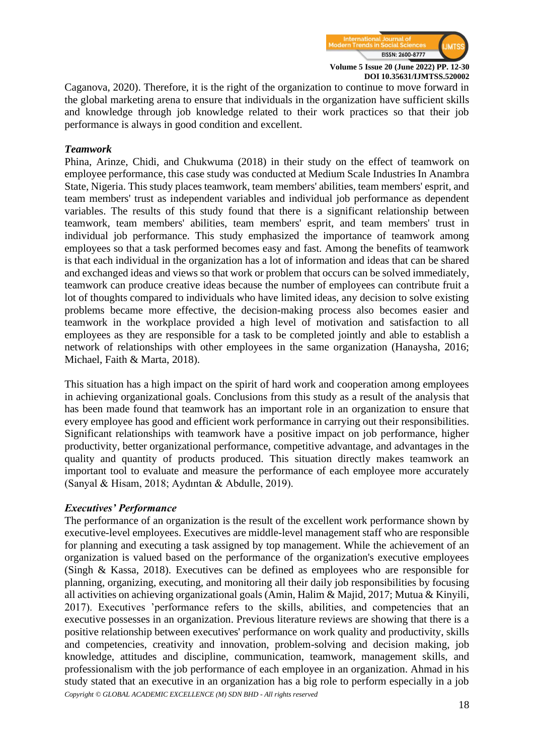

Caganova, 2020). Therefore, it is the right of the organization to continue to move forward in the global marketing arena to ensure that individuals in the organization have sufficient skills and knowledge through job knowledge related to their work practices so that their job performance is always in good condition and excellent.

#### *Teamwork*

Phina, Arinze, Chidi, and Chukwuma (2018) in their study on the effect of teamwork on employee performance, this case study was conducted at Medium Scale Industries In Anambra State, Nigeria. This study places teamwork, team members' abilities, team members' esprit, and team members' trust as independent variables and individual job performance as dependent variables. The results of this study found that there is a significant relationship between teamwork, team members' abilities, team members' esprit, and team members' trust in individual job performance. This study emphasized the importance of teamwork among employees so that a task performed becomes easy and fast. Among the benefits of teamwork is that each individual in the organization has a lot of information and ideas that can be shared and exchanged ideas and views so that work or problem that occurs can be solved immediately, teamwork can produce creative ideas because the number of employees can contribute fruit a lot of thoughts compared to individuals who have limited ideas, any decision to solve existing problems became more effective, the decision-making process also becomes easier and teamwork in the workplace provided a high level of motivation and satisfaction to all employees as they are responsible for a task to be completed jointly and able to establish a network of relationships with other employees in the same organization (Hanaysha, 2016; Michael, Faith & Marta, 2018).

This situation has a high impact on the spirit of hard work and cooperation among employees in achieving organizational goals. Conclusions from this study as a result of the analysis that has been made found that teamwork has an important role in an organization to ensure that every employee has good and efficient work performance in carrying out their responsibilities. Significant relationships with teamwork have a positive impact on job performance, higher productivity, better organizational performance, competitive advantage, and advantages in the quality and quantity of products produced. This situation directly makes teamwork an important tool to evaluate and measure the performance of each employee more accurately (Sanyal & Hisam, 2018; Aydıntan & Abdulle, 2019).

#### *Executives' Performance*

*Copyright © GLOBAL ACADEMIC EXCELLENCE (M) SDN BHD - All rights reserved* The performance of an organization is the result of the excellent work performance shown by executive-level employees. Executives are middle-level management staff who are responsible for planning and executing a task assigned by top management. While the achievement of an organization is valued based on the performance of the organization's executive employees (Singh & Kassa, 2018). Executives can be defined as employees who are responsible for planning, organizing, executing, and monitoring all their daily job responsibilities by focusing all activities on achieving organizational goals (Amin, Halim & Majid, 2017; Mutua & Kinyili, 2017). Executives 'performance refers to the skills, abilities, and competencies that an executive possesses in an organization. Previous literature reviews are showing that there is a positive relationship between executives' performance on work quality and productivity, skills and competencies, creativity and innovation, problem-solving and decision making, job knowledge, attitudes and discipline, communication, teamwork, management skills, and professionalism with the job performance of each employee in an organization. Ahmad in his study stated that an executive in an organization has a big role to perform especially in a job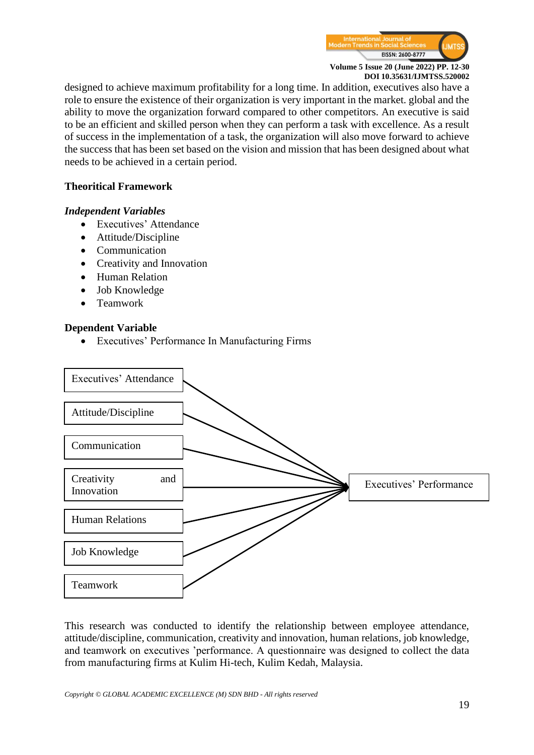

designed to achieve maximum profitability for a long time. In addition, executives also have a role to ensure the existence of their organization is very important in the market. global and the ability to move the organization forward compared to other competitors. An executive is said to be an efficient and skilled person when they can perform a task with excellence. As a result of success in the implementation of a task, the organization will also move forward to achieve the success that has been set based on the vision and mission that has been designed about what needs to be achieved in a certain period.

## **Theoritical Framework**

#### *Independent Variables*

- Executives' Attendance
- Attitude/Discipline
- Communication
- Creativity and Innovation
- Human Relation
- Job Knowledge
- Teamwork

#### **Dependent Variable**

• Executives' Performance In Manufacturing Firms



This research was conducted to identify the relationship between employee attendance, attitude/discipline, communication, creativity and innovation, human relations, job knowledge, and teamwork on executives 'performance. A questionnaire was designed to collect the data from manufacturing firms at Kulim Hi-tech, Kulim Kedah, Malaysia.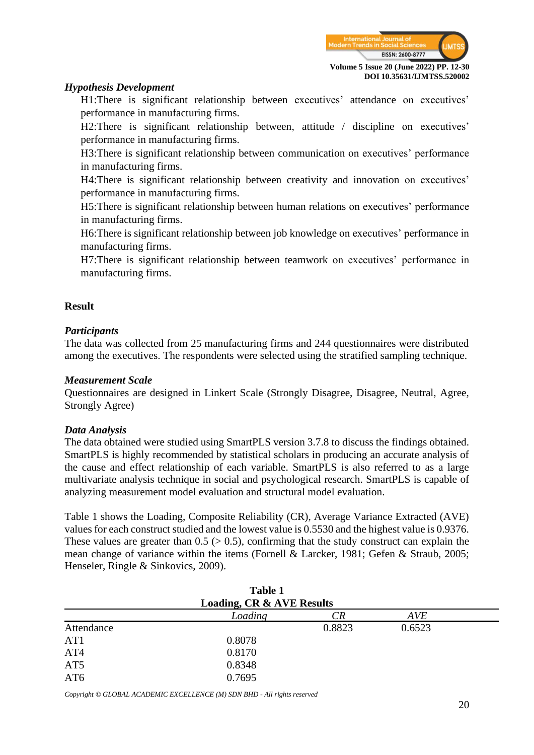

#### *Hypothesis Development*

H1:There is significant relationship between executives' attendance on executives' performance in manufacturing firms.

H2:There is significant relationship between, attitude / discipline on executives' performance in manufacturing firms.

H3:There is significant relationship between communication on executives' performance in manufacturing firms.

H4:There is significant relationship between creativity and innovation on executives' performance in manufacturing firms.

H5:There is significant relationship between human relations on executives' performance in manufacturing firms.

H6:There is significant relationship between job knowledge on executives' performance in manufacturing firms.

H7:There is significant relationship between teamwork on executives' performance in manufacturing firms.

#### **Result**

#### *Participants*

The data was collected from 25 manufacturing firms and 244 questionnaires were distributed among the executives. The respondents were selected using the stratified sampling technique.

#### *Measurement Scale*

Questionnaires are designed in Linkert Scale (Strongly Disagree, Disagree, Neutral, Agree, Strongly Agree)

#### *Data Analysis*

The data obtained were studied using SmartPLS version 3.7.8 to discuss the findings obtained. SmartPLS is highly recommended by statistical scholars in producing an accurate analysis of the cause and effect relationship of each variable. SmartPLS is also referred to as a large multivariate analysis technique in social and psychological research. SmartPLS is capable of analyzing measurement model evaluation and structural model evaluation.

Table 1 shows the Loading, Composite Reliability (CR), Average Variance Extracted (AVE) values for each construct studied and the lowest value is 0.5530 and the highest value is 0.9376. These values are greater than  $0.5$  ( $> 0.5$ ), confirming that the study construct can explain the mean change of variance within the items (Fornell & Larcker, 1981; Gefen & Straub, 2005; Henseler, Ringle & Sinkovics, 2009).

|                                      | <b>Table 1</b> |        |            |  |  |  |
|--------------------------------------|----------------|--------|------------|--|--|--|
| <b>Loading, CR &amp; AVE Results</b> |                |        |            |  |  |  |
|                                      | Loading        | CR     | <b>AVE</b> |  |  |  |
| Attendance                           |                | 0.8823 | 0.6523     |  |  |  |
| AT <sub>1</sub>                      | 0.8078         |        |            |  |  |  |
| AT4                                  | 0.8170         |        |            |  |  |  |
| AT <sub>5</sub>                      | 0.8348         |        |            |  |  |  |
| AT6                                  | 0.7695         |        |            |  |  |  |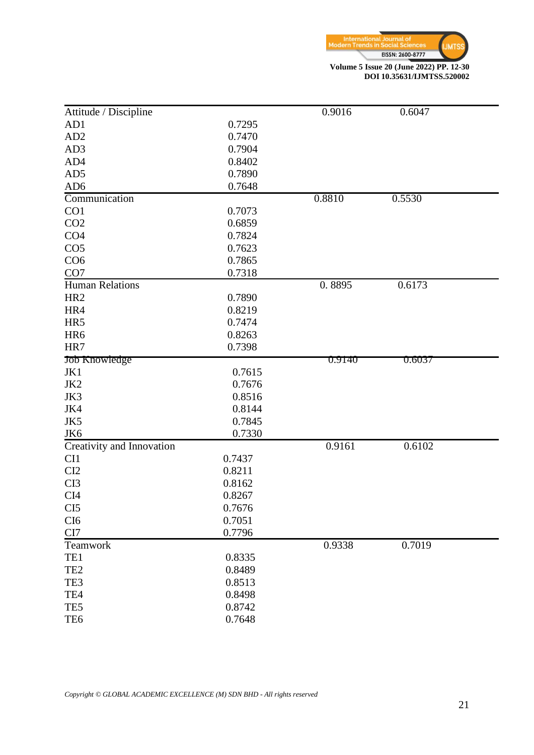

**DOI 10.35631/IJMTSS.520002**

| Attitude / Discipline     |        | 0.9016 | 0.6047        |  |
|---------------------------|--------|--------|---------------|--|
| AD1                       | 0.7295 |        |               |  |
| AD <sub>2</sub>           | 0.7470 |        |               |  |
| AD3                       | 0.7904 |        |               |  |
| AD4                       | 0.8402 |        |               |  |
| AD5                       | 0.7890 |        |               |  |
| AD <sub>6</sub>           | 0.7648 |        |               |  |
| Communication             |        | 0.8810 | 0.5530        |  |
| CO1                       | 0.7073 |        |               |  |
| CO <sub>2</sub>           | 0.6859 |        |               |  |
| CO <sub>4</sub>           | 0.7824 |        |               |  |
| CO <sub>5</sub>           | 0.7623 |        |               |  |
| CO <sub>6</sub>           | 0.7865 |        |               |  |
| CO <sub>7</sub>           | 0.7318 |        |               |  |
| <b>Human Relations</b>    |        | 0.8895 | 0.6173        |  |
| HR <sub>2</sub>           | 0.7890 |        |               |  |
| HR4                       | 0.8219 |        |               |  |
| HR5                       | 0.7474 |        |               |  |
| HR6                       | 0.8263 |        |               |  |
| HR7                       | 0.7398 |        |               |  |
| Job Knowledge             |        | 0.9140 | <u>0.6037</u> |  |
| JK1                       | 0.7615 |        |               |  |
| JK2                       | 0.7676 |        |               |  |
| JK3                       | 0.8516 |        |               |  |
| JK4                       | 0.8144 |        |               |  |
| JK5                       | 0.7845 |        |               |  |
| JK6                       | 0.7330 |        |               |  |
| Creativity and Innovation |        | 0.9161 | 0.6102        |  |
| CI1                       | 0.7437 |        |               |  |
| CI2                       | 0.8211 |        |               |  |
| CI3                       | 0.8162 |        |               |  |
| CI <sub>4</sub>           | 0.8267 |        |               |  |
| CI <sub>5</sub>           | 0.7676 |        |               |  |
| CI <sub>6</sub>           | 0.7051 |        |               |  |
| CI7                       | 0.7796 |        |               |  |
| Teamwork                  |        | 0.9338 | 0.7019        |  |
| TE1                       | 0.8335 |        |               |  |
| TE <sub>2</sub>           | 0.8489 |        |               |  |
| TE3                       | 0.8513 |        |               |  |
| TE4                       | 0.8498 |        |               |  |
| TE5                       | 0.8742 |        |               |  |
| TE <sub>6</sub>           | 0.7648 |        |               |  |
|                           |        |        |               |  |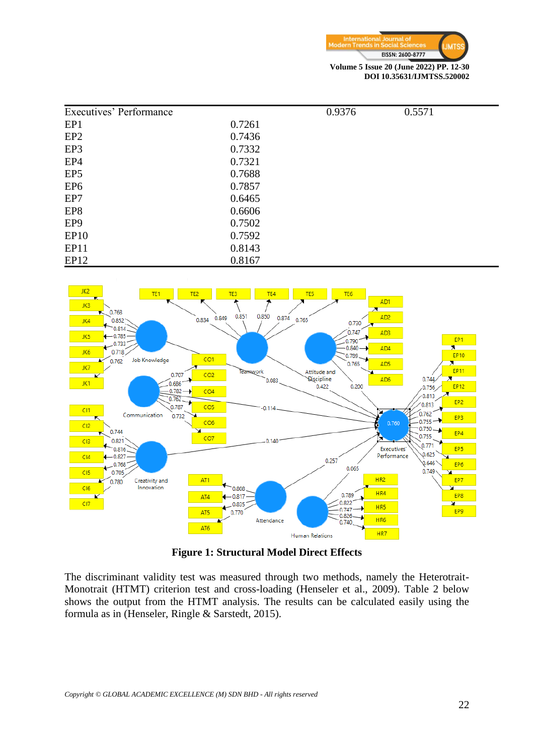

| Executives' Performance |        | 0.9376 | 0.5571 |
|-------------------------|--------|--------|--------|
| EP1                     | 0.7261 |        |        |
| EP <sub>2</sub>         | 0.7436 |        |        |
| EP3                     | 0.7332 |        |        |
| EP <sub>4</sub>         | 0.7321 |        |        |
| EP <sub>5</sub>         | 0.7688 |        |        |
| EP <sub>6</sub>         | 0.7857 |        |        |
| EP7                     | 0.6465 |        |        |
| EP8                     | 0.6606 |        |        |
| EP <sub>9</sub>         | 0.7502 |        |        |
| EP <sub>10</sub>        | 0.7592 |        |        |
| EP11                    | 0.8143 |        |        |
| EP <sub>12</sub>        | 0.8167 |        |        |



**Figure 1: Structural Model Direct Effects**

The discriminant validity test was measured through two methods, namely the Heterotrait-Monotrait (HTMT) criterion test and cross-loading (Henseler et al., 2009). Table 2 below shows the output from the HTMT analysis. The results can be calculated easily using the formula as in (Henseler, Ringle & Sarstedt, 2015).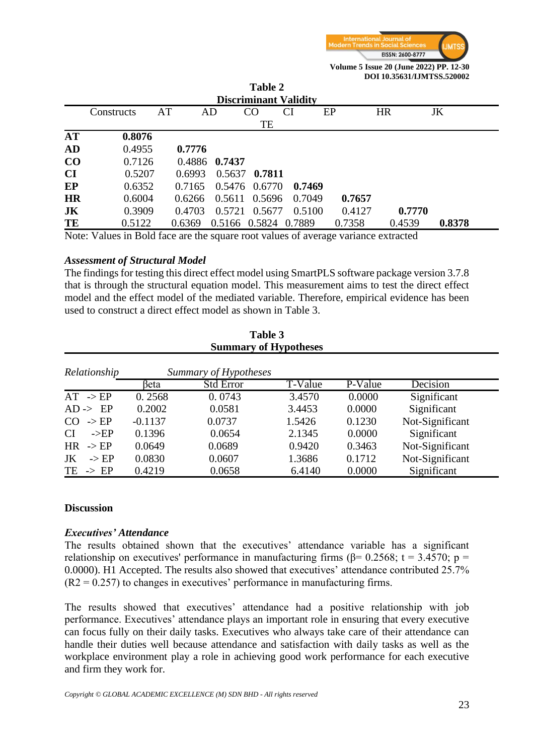

**DOI 10.35631/IJMTSS.520002**

|           | 1 adie 4<br><b>Discriminant Validity</b>                                             |    |        |                      |               |        |        |           |        |
|-----------|--------------------------------------------------------------------------------------|----|--------|----------------------|---------------|--------|--------|-----------|--------|
|           |                                                                                      |    |        |                      |               |        |        |           |        |
|           | Constructs                                                                           | AT |        | AD                   | CO            | CI     | EP     | <b>HR</b> | JK     |
|           |                                                                                      |    |        |                      | TE            |        |        |           |        |
| <b>AT</b> | 0.8076                                                                               |    |        |                      |               |        |        |           |        |
| AD        | 0.4955                                                                               |    | 0.7776 |                      |               |        |        |           |        |
| $\bf CO$  | 0.7126                                                                               |    |        | 0.4886 0.7437        |               |        |        |           |        |
| <b>CI</b> | 0.5207                                                                               |    | 0.6993 |                      | 0.5637 0.7811 |        |        |           |        |
| EP        | 0.6352                                                                               |    | 0.7165 |                      | 0.5476 0.6770 | 0.7469 |        |           |        |
| <b>HR</b> | 0.6004                                                                               |    |        | 0.6266 0.5611 0.5696 |               | 0.7049 | 0.7657 |           |        |
| JK        | 0.3909                                                                               |    | 0.4703 |                      | 0.5721 0.5677 | 0.5100 | 0.4127 | 0.7770    |        |
| TE        | 0.5122                                                                               |    | 0.6369 | 0.5166 0.5824 0.7889 |               |        | 0.7358 | 0.4539    | 0.8378 |
|           | Note: Velues in Rold foco are the square root velues of everyone verticing extracted |    |        |                      |               |        |        |           |        |

 $T_1$   $T_2$   $T_3$ 

Note: Values in Bold face are the square root values of average variance extracted

#### *Assessment of Structural Model*

The findings for testing this direct effect model using SmartPLS software package version 3.7.8 that is through the structural equation model. This measurement aims to test the direct effect model and the effect model of the mediated variable. Therefore, empirical evidence has been used to construct a direct effect model as shown in Table 3.

**Table 3** 

| t adie d<br><b>Summary of Hypotheses</b> |           |                  |         |         |                 |  |  |
|------------------------------------------|-----------|------------------|---------|---------|-----------------|--|--|
| Summary of Hypotheses<br>Relationship    |           |                  |         |         |                 |  |  |
|                                          | beta      | <b>Std Error</b> | T-Value | P-Value | <b>Decision</b> |  |  |
| $AT \rightarrow EP$                      | 0.2568    | 0.0743           | 3.4570  | 0.0000  | Significant     |  |  |
| $AD \rightarrow EP$                      | 0.2002    | 0.0581           | 3.4453  | 0.0000  | Significant     |  |  |
| $\rightarrow$ EP<br>CO                   | $-0.1137$ | 0.0737           | 1.5426  | 0.1230  | Not-Significant |  |  |
| <b>CI</b><br>$->EP$                      | 0.1396    | 0.0654           | 2.1345  | 0.0000  | Significant     |  |  |
| <b>HR</b><br>$\rightarrow$ EP            | 0.0649    | 0.0689           | 0.9420  | 0.3463  | Not-Significant |  |  |
| $\rightarrow$ EP<br>JK                   | 0.0830    | 0.0607           | 1.3686  | 0.1712  | Not-Significant |  |  |
| TE<br>$\rightarrow$ EP                   | 0.4219    | 0.0658           | 6.4140  | 0.0000  | Significant     |  |  |

#### **Discussion**

#### *Executives' Attendance*

The results obtained shown that the executives' attendance variable has a significant relationship on executives' performance in manufacturing firms ( $\beta$ = 0.2568; t = 3.4570; p = 0.0000). H1 Accepted. The results also showed that executives' attendance contributed 25.7%  $(R2 = 0.257)$  to changes in executives' performance in manufacturing firms.

The results showed that executives' attendance had a positive relationship with job performance. Executives' attendance plays an important role in ensuring that every executive can focus fully on their daily tasks. Executives who always take care of their attendance can handle their duties well because attendance and satisfaction with daily tasks as well as the workplace environment play a role in achieving good work performance for each executive and firm they work for.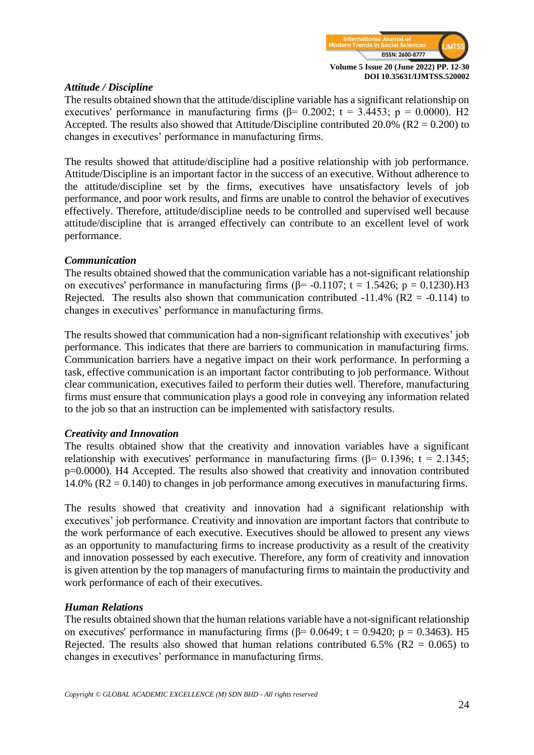

#### *Attitude / Discipline*

The results obtained shown that the attitude/discipline variable has a significant relationship on executives' performance in manufacturing firms ( $\beta$ = 0.2002; t = 3.4453; p = 0.0000). H2 Accepted. The results also showed that Attitude/Discipline contributed 20.0% (R2 = 0.200) to changes in executives' performance in manufacturing firms.

The results showed that attitude/discipline had a positive relationship with job performance. Attitude/Discipline is an important factor in the success of an executive. Without adherence to the attitude/discipline set by the firms, executives have unsatisfactory levels of job performance, and poor work results, and firms are unable to control the behavior of executives effectively. Therefore, attitude/discipline needs to be controlled and supervised well because attitude/discipline that is arranged effectively can contribute to an excellent level of work performance.

#### *Communication*

The results obtained showed that the communication variable has a not-significant relationship on executives' performance in manufacturing firms ( $\beta$ = -0.1107; t = 1.5426; p = 0.1230).H3 Rejected. The results also shown that communication contributed  $-11.4\%$  (R2 =  $-0.114$ ) to changes in executives' performance in manufacturing firms.

The results showed that communication had a non-significant relationship with executives' job performance. This indicates that there are barriers to communication in manufacturing firms. Communication barriers have a negative impact on their work performance. In performing a task, effective communication is an important factor contributing to job performance. Without clear communication, executives failed to perform their duties well. Therefore, manufacturing firms must ensure that communication plays a good role in conveying any information related to the job so that an instruction can be implemented with satisfactory results.

#### *Creativity and Innovation*

The results obtained show that the creativity and innovation variables have a significant relationship with executives' performance in manufacturing firms ( $\beta$ = 0.1396; t = 2.1345; p=0.0000). H4 Accepted. The results also showed that creativity and innovation contributed 14.0% (R2 = 0.140) to changes in job performance among executives in manufacturing firms.

The results showed that creativity and innovation had a significant relationship with executives' job performance. Creativity and innovation are important factors that contribute to the work performance of each executive. Executives should be allowed to present any views as an opportunity to manufacturing firms to increase productivity as a result of the creativity and innovation possessed by each executive. Therefore, any form of creativity and innovation is given attention by the top managers of manufacturing firms to maintain the productivity and work performance of each of their executives.

## *Human Relations*

The results obtained shown that the human relations variable have a not-significant relationship on executives' performance in manufacturing firms ( $\beta$ = 0.0649; t = 0.9420; p = 0.3463). H5 Rejected. The results also showed that human relations contributed 6.5% ( $R2 = 0.065$ ) to changes in executives' performance in manufacturing firms.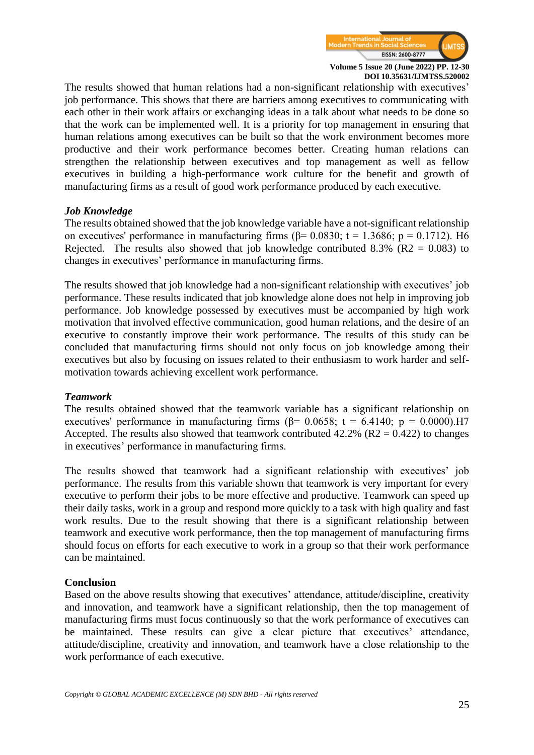

The results showed that human relations had a non-significant relationship with executives' job performance. This shows that there are barriers among executives to communicating with each other in their work affairs or exchanging ideas in a talk about what needs to be done so that the work can be implemented well. It is a priority for top management in ensuring that human relations among executives can be built so that the work environment becomes more productive and their work performance becomes better. Creating human relations can strengthen the relationship between executives and top management as well as fellow executives in building a high-performance work culture for the benefit and growth of manufacturing firms as a result of good work performance produced by each executive.

#### *Job Knowledge*

The results obtained showed that the job knowledge variable have a not-significant relationship on executives' performance in manufacturing firms ( $\beta$ = 0.0830; t = 1.3686; p = 0.1712). H6 Rejected. The results also showed that job knowledge contributed 8.3% ( $R2 = 0.083$ ) to changes in executives' performance in manufacturing firms.

The results showed that job knowledge had a non-significant relationship with executives' job performance. These results indicated that job knowledge alone does not help in improving job performance. Job knowledge possessed by executives must be accompanied by high work motivation that involved effective communication, good human relations, and the desire of an executive to constantly improve their work performance. The results of this study can be concluded that manufacturing firms should not only focus on job knowledge among their executives but also by focusing on issues related to their enthusiasm to work harder and selfmotivation towards achieving excellent work performance.

#### *Teamwork*

The results obtained showed that the teamwork variable has a significant relationship on executives' performance in manufacturing firms ( $\beta$ = 0.0658; t = 6.4140; p = 0.0000).H7 Accepted. The results also showed that teamwork contributed  $42.2\%$  (R2 = 0.422) to changes in executives' performance in manufacturing firms.

The results showed that teamwork had a significant relationship with executives' job performance. The results from this variable shown that teamwork is very important for every executive to perform their jobs to be more effective and productive. Teamwork can speed up their daily tasks, work in a group and respond more quickly to a task with high quality and fast work results. Due to the result showing that there is a significant relationship between teamwork and executive work performance, then the top management of manufacturing firms should focus on efforts for each executive to work in a group so that their work performance can be maintained.

#### **Conclusion**

Based on the above results showing that executives' attendance, attitude/discipline, creativity and innovation, and teamwork have a significant relationship, then the top management of manufacturing firms must focus continuously so that the work performance of executives can be maintained. These results can give a clear picture that executives' attendance, attitude/discipline, creativity and innovation, and teamwork have a close relationship to the work performance of each executive.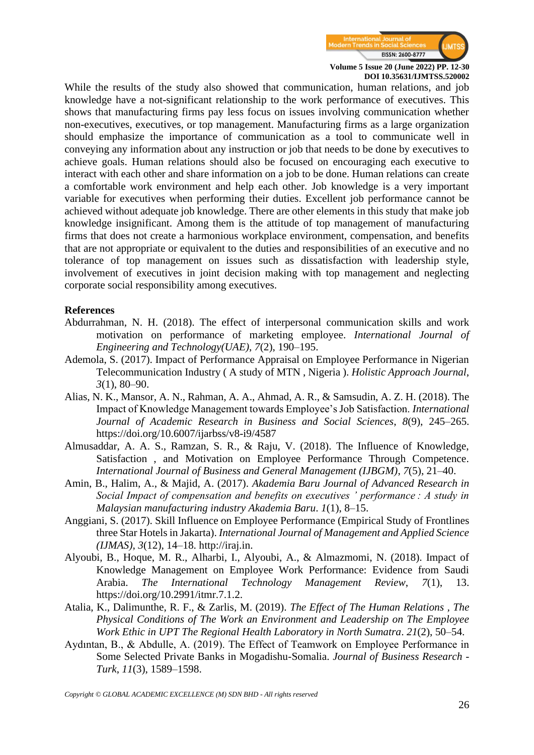

While the results of the study also showed that communication, human relations, and job knowledge have a not-significant relationship to the work performance of executives. This shows that manufacturing firms pay less focus on issues involving communication whether non-executives, executives, or top management. Manufacturing firms as a large organization should emphasize the importance of communication as a tool to communicate well in conveying any information about any instruction or job that needs to be done by executives to achieve goals. Human relations should also be focused on encouraging each executive to interact with each other and share information on a job to be done. Human relations can create a comfortable work environment and help each other. Job knowledge is a very important variable for executives when performing their duties. Excellent job performance cannot be achieved without adequate job knowledge. There are other elements in this study that make job knowledge insignificant. Among them is the attitude of top management of manufacturing firms that does not create a harmonious workplace environment, compensation, and benefits that are not appropriate or equivalent to the duties and responsibilities of an executive and no tolerance of top management on issues such as dissatisfaction with leadership style, involvement of executives in joint decision making with top management and neglecting corporate social responsibility among executives.

#### **References**

- Abdurrahman, N. H. (2018). The effect of interpersonal communication skills and work motivation on performance of marketing employee. *International Journal of Engineering and Technology(UAE)*, *7*(2), 190–195.
- Ademola, S. (2017). Impact of Performance Appraisal on Employee Performance in Nigerian Telecommunication Industry ( A study of MTN , Nigeria ). *Holistic Approach Journal*, *3*(1), 80–90.
- Alias, N. K., Mansor, A. N., Rahman, A. A., Ahmad, A. R., & Samsudin, A. Z. H. (2018). The Impact of Knowledge Management towards Employee's Job Satisfaction. *International Journal of Academic Research in Business and Social Sciences*, *8*(9), 245–265. <https://doi.org/10.6007/ijarbss/v8-i9/4587>
- Almusaddar, A. A. S., Ramzan, S. R., & Raju, V. (2018). The Influence of Knowledge, Satisfaction , and Motivation on Employee Performance Through Competence. *International Journal of Business and General Management (IJBGM)*, *7*(5), 21–40.
- Amin, B., Halim, A., & Majid, A. (2017). *Akademia Baru Journal of Advanced Research in Social Impact of compensation and benefits on executives ' performance : A study in Malaysian manufacturing industry Akademia Baru*. *1*(1), 8–15.
- Anggiani, S. (2017). Skill Influence on Employee Performance (Empirical Study of Frontlines three Star Hotels in Jakarta). *International Journal of Management and Applied Science (IJMAS)*, *3*(12), 14–18. [http://iraj.in.](http://iraj.in/)
- Alyoubi, B., Hoque, M. R., Alharbi, I., Alyoubi, A., & Almazmomi, N. (2018). Impact of Knowledge Management on Employee Work Performance: Evidence from Saudi Arabia. *The International Technology Management Review*, *7*(1), 13. https://doi.org/10.2991/itmr.7.1.2.
- Atalia, K., Dalimunthe, R. F., & Zarlis, M. (2019). *The Effect of The Human Relations , The Physical Conditions of The Work an Environment and Leadership on The Employee Work Ethic in UPT The Regional Health Laboratory in North Sumatra*. *21*(2), 50–54.
- Aydıntan, B., & Abdulle, A. (2019). The Effect of Teamwork on Employee Performance in Some Selected Private Banks in Mogadishu-Somalia. *Journal of Business Research - Turk*, *11*(3), 1589–1598.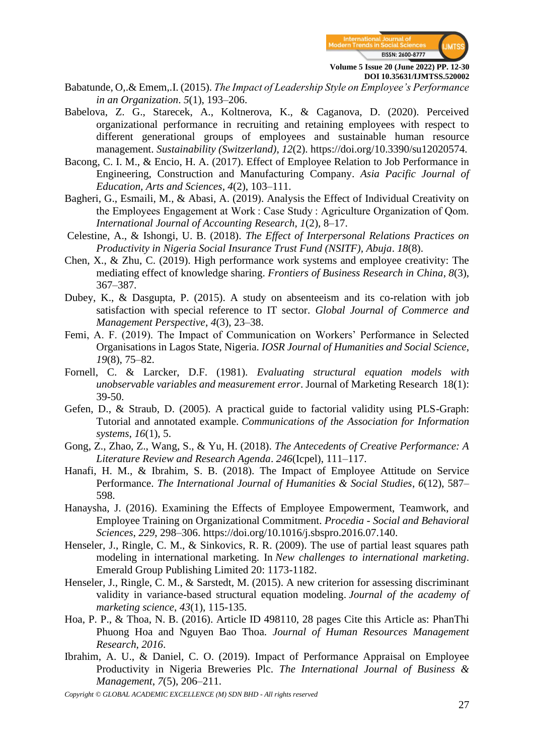

- Babatunde, O,.& Emem,.I. (2015). *The Impact of Leadership Style on Employee's Performance in an Organization*. *5*(1), 193–206.
- Babelova, Z. G., Starecek, A., Koltnerova, K., & Caganova, D. (2020). Perceived organizational performance in recruiting and retaining employees with respect to different generational groups of employees and sustainable human resource management. *Sustainability (Switzerland)*, *12*(2). https://doi.org/10.3390/su12020574.
- Bacong, C. I. M., & Encio, H. A. (2017). Effect of Employee Relation to Job Performance in Engineering, Construction and Manufacturing Company. *Asia Pacific Journal of Education, Arts and Sciences*, *4*(2), 103–111.
- Bagheri, G., Esmaili, M., & Abasi, A. (2019). Analysis the Effect of Individual Creativity on the Employees Engagement at Work : Case Study : Agriculture Organization of Qom. *International Journal of Accounting Research*, *1*(2), 8–17.
- Celestine, A., & Ishongi, U. B. (2018). *The Effect of Interpersonal Relations Practices on Productivity in Nigeria Social Insurance Trust Fund (NSITF), Abuja*. *18*(8).
- Chen, X., & Zhu, C. (2019). High performance work systems and employee creativity: The mediating effect of knowledge sharing. *Frontiers of Business Research in China*, *8*(3), 367–387.
- Dubey, K., & Dasgupta, P. (2015). A study on absenteeism and its co-relation with job satisfaction with special reference to IT sector. *Global Journal of Commerce and Management Perspective*, *4*(3), 23–38.
- Femi, A. F. (2019). The Impact of Communication on Workers' Performance in Selected Organisations in Lagos State, Nigeria. *IOSR Journal of Humanities and Social Science*, *19*(8), 75–82.
- Fornell, C. & Larcker, D.F. (1981). *Evaluating structural equation models with unobservable variables and measurement error*. Journal of Marketing Research 18(1): 39-50.
- Gefen, D., & Straub, D. (2005). A practical guide to factorial validity using PLS-Graph: Tutorial and annotated example. *Communications of the Association for Information systems*, *16*(1), 5.
- Gong, Z., Zhao, Z., Wang, S., & Yu, H. (2018). *The Antecedents of Creative Performance: A Literature Review and Research Agenda*. *246*(Icpel), 111–117.
- Hanafi, H. M., & Ibrahim, S. B. (2018). The Impact of Employee Attitude on Service Performance. *The International Journal of Humanities & Social Studies*, *6*(12), 587– 598.
- Hanaysha, J. (2016). Examining the Effects of Employee Empowerment, Teamwork, and Employee Training on Organizational Commitment. *Procedia - Social and Behavioral Sciences*, *229*, 298–306. https://doi.org/10.1016/j.sbspro.2016.07.140.
- Henseler, J., Ringle, C. M., & Sinkovics, R. R. (2009). The use of partial least squares path modeling in international marketing. In *New challenges to international marketing*. Emerald Group Publishing Limited 20: 1173-1182.
- Henseler, J., Ringle, C. M., & Sarstedt, M. (2015). A new criterion for assessing discriminant validity in variance-based structural equation modeling. *Journal of the academy of marketing science*, *43*(1), 115-135.
- Hoa, P. P., & Thoa, N. B. (2016). Article ID 498110, 28 pages Cite this Article as: PhanThi Phuong Hoa and Nguyen Bao Thoa. *Journal of Human Resources Management Research*, *2016*.
- Ibrahim, A. U., & Daniel, C. O. (2019). Impact of Performance Appraisal on Employee Productivity in Nigeria Breweries Plc. *The International Journal of Business & Management*, *7*(5), 206–211.
- *Copyright © GLOBAL ACADEMIC EXCELLENCE (M) SDN BHD - All rights reserved*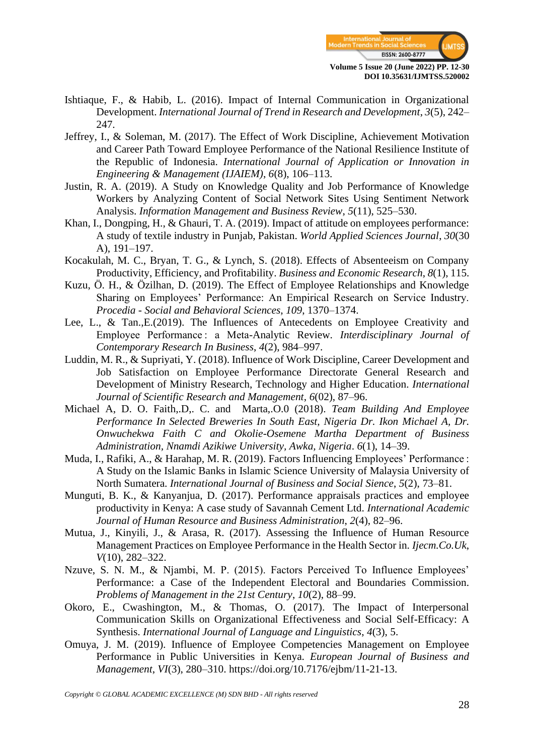

- Ishtiaque, F., & Habib, L. (2016). Impact of Internal Communication in Organizational Development. *International Journal of Trend in Research and Development*, *3*(5), 242– 247.
- Jeffrey, I., & Soleman, M. (2017). The Effect of Work Discipline, Achievement Motivation and Career Path Toward Employee Performance of the National Resilience Institute of the Republic of Indonesia. *International Journal of Application or Innovation in Engineering & Management (IJAIEM)*, *6*(8), 106–113.
- Justin, R. A. (2019). A Study on Knowledge Quality and Job Performance of Knowledge Workers by Analyzing Content of Social Network Sites Using Sentiment Network Analysis. *Information Management and Business Review*, *5*(11), 525–530.
- Khan, I., Dongping, H., & Ghauri, T. A. (2019). Impact of attitude on employees performance: A study of textile industry in Punjab, Pakistan. *World Applied Sciences Journal*, *30*(30 A), 191–197.
- Kocakulah, M. C., Bryan, T. G., & Lynch, S. (2018). Effects of Absenteeism on Company Productivity, Efficiency, and Profitability. *Business and Economic Research*, *8*(1), 115.
- Kuzu, Ö. H., & Özilhan, D. (2019). The Effect of Employee Relationships and Knowledge Sharing on Employees' Performance: An Empirical Research on Service Industry. *Procedia - Social and Behavioral Sciences*, *109*, 1370–1374.
- Lee, L., & Tan.,E.(2019). The Influences of Antecedents on Employee Creativity and Employee Performance : a Meta-Analytic Review. *Interdisciplinary Journal of Contemporary Research In Business*, *4*(2), 984–997.
- Luddin, M. R., & Supriyati, Y. (2018). Influence of Work Discipline, Career Development and Job Satisfaction on Employee Performance Directorate General Research and Development of Ministry Research, Technology and Higher Education. *International Journal of Scientific Research and Management*, *6*(02), 87–96.
- Michael A, D. O. Faith,.D,. C. and Marta,.O.0 (2018). *Team Building And Employee Performance In Selected Breweries In South East, Nigeria Dr. Ikon Michael A, Dr. Onwuchekwa Faith C and Okolie-Osemene Martha Department of Business Administration, Nnamdi Azikiwe University, Awka, Nigeria*. *6*(1), 14–39.
- Muda, I., Rafiki, A., & Harahap, M. R. (2019). Factors Influencing Employees' Performance : A Study on the Islamic Banks in Islamic Science University of Malaysia University of North Sumatera. *International Journal of Business and Social Sience*, *5*(2), 73–81.
- Munguti, B. K., & Kanyanjua, D. (2017). Performance appraisals practices and employee productivity in Kenya: A case study of Savannah Cement Ltd. *International Academic Journal of Human Resource and Business Administration*, *2*(4), 82–96.
- Mutua, J., Kinyili, J., & Arasa, R. (2017). Assessing the Influence of Human Resource Management Practices on Employee Performance in the Health Sector in. *Ijecm.Co.Uk*, *V*(10), 282–322.
- Nzuve, S. N. M., & Njambi, M. P. (2015). Factors Perceived To Influence Employees' Performance: a Case of the Independent Electoral and Boundaries Commission. *Problems of Management in the 21st Century*, *10*(2), 88–99.
- Okoro, E., Cwashington, M., & Thomas, O. (2017). The Impact of Interpersonal Communication Skills on Organizational Effectiveness and Social Self-Efficacy: A Synthesis. *International Journal of Language and Linguistics*, *4*(3), 5.
- Omuya, J. M. (2019). Influence of Employee Competencies Management on Employee Performance in Public Universities in Kenya. *European Journal of Business and Management*, *VI*(3), 280–310. https://doi.org/10.7176/ejbm/11-21-13.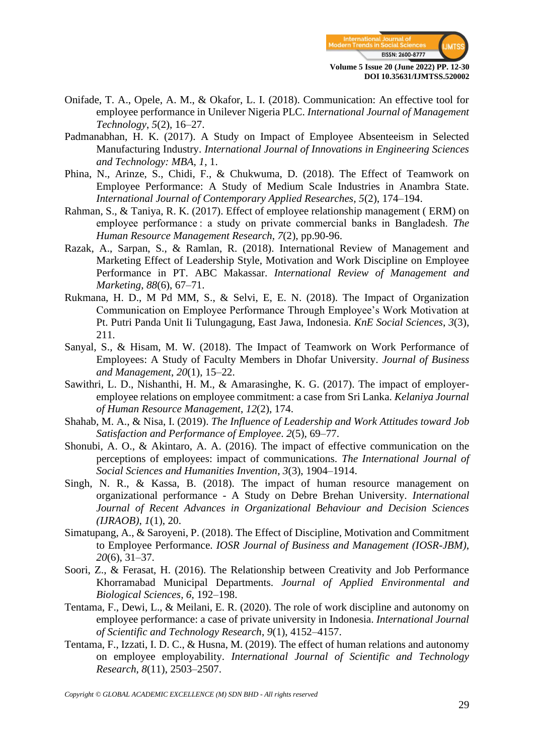

- Onifade, T. A., Opele, A. M., & Okafor, L. I. (2018). Communication: An effective tool for employee performance in Unilever Nigeria PLC. *International Journal of Management Technology*, *5*(2), 16–27.
- Padmanabhan, H. K. (2017). A Study on Impact of Employee Absenteeism in Selected Manufacturing Industry. *International Journal of Innovations in Engineering Sciences and Technology: MBA*, *1*, 1.
- Phina, N., Arinze, S., Chidi, F., & Chukwuma, D. (2018). The Effect of Teamwork on Employee Performance: A Study of Medium Scale Industries in Anambra State. *International Journal of Contemporary Applied Researches*, *5*(2), 174–194.
- Rahman, S., & Taniya, R. K. (2017). Effect of employee relationship management ( ERM) on employee performance : a study on private commercial banks in Bangladesh. *The Human Resource Management Research*, *7*(2), pp.90-96.
- Razak, A., Sarpan, S., & Ramlan, R. (2018). International Review of Management and Marketing Effect of Leadership Style, Motivation and Work Discipline on Employee Performance in PT. ABC Makassar. *International Review of Management and Marketing*, *88*(6), 67–71.
- Rukmana, H. D., M Pd MM, S., & Selvi, E, E. N. (2018). The Impact of Organization Communication on Employee Performance Through Employee's Work Motivation at Pt. Putri Panda Unit Ii Tulungagung, East Jawa, Indonesia. *KnE Social Sciences*, *3*(3), 211.
- Sanyal, S., & Hisam, M. W. (2018). The Impact of Teamwork on Work Performance of Employees: A Study of Faculty Members in Dhofar University. *Journal of Business and Management*, *20*(1), 15–22.
- Sawithri, L. D., Nishanthi, H. M., & Amarasinghe, K. G. (2017). The impact of employeremployee relations on employee commitment: a case from Sri Lanka. *Kelaniya Journal of Human Resource Management*, *12*(2), 174.
- Shahab, M. A., & Nisa, I. (2019). *The Influence of Leadership and Work Attitudes toward Job Satisfaction and Performance of Employee*. *2*(5), 69–77.
- Shonubi, A. O., & Akintaro, A. A. (2016). The impact of effective communication on the perceptions of employees: impact of communications. *The International Journal of Social Sciences and Humanities Invention*, *3*(3), 1904–1914.
- Singh, N. R., & Kassa, B. (2018). The impact of human resource management on organizational performance - A Study on Debre Brehan University. *International Journal of Recent Advances in Organizational Behaviour and Decision Sciences (IJRAOB)*, *1*(1), 20.
- Simatupang, A., & Saroyeni, P. (2018). The Effect of Discipline, Motivation and Commitment to Employee Performance. *IOSR Journal of Business and Management (IOSR-JBM)*, *20*(6), 31–37.
- Soori, Z., & Ferasat, H. (2016). The Relationship between Creativity and Job Performance Khorramabad Municipal Departments. *Journal of Applied Environmental and Biological Sciences*, *6*, 192–198.
- Tentama, F., Dewi, L., & Meilani, E. R. (2020). The role of work discipline and autonomy on employee performance: a case of private university in Indonesia. *International Journal of Scientific and Technology Research*, *9*(1), 4152–4157.
- Tentama, F., Izzati, I. D. C., & Husna, M. (2019). The effect of human relations and autonomy on employee employability. *International Journal of Scientific and Technology Research*, *8*(11), 2503–2507.